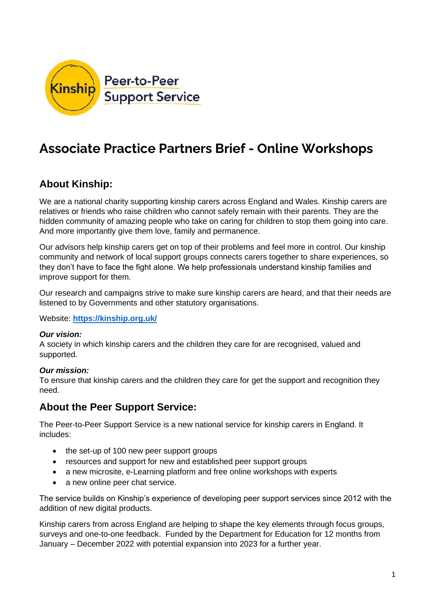

# **Associate Practice Partners Brief - Online Workshops**

# **About Kinship:**

We are a national charity supporting kinship carers across England and Wales. Kinship carers are relatives or friends who raise children who cannot safely remain with their parents. They are the hidden community of amazing people who take on caring for children to stop them going into care. And more importantly give them love, family and permanence.

Our advisors help kinship carers get on top of their problems and feel more in control. Our kinship community and network of local support groups connects carers together to share experiences, so they don't have to face the fight alone. We help professionals understand kinship families and improve support for them.

Our research and campaigns strive to make sure kinship carers are heard, and that their needs are listened to by Governments and other statutory organisations.

Website: **<https://kinship.org.uk/>**

#### *Our vision:*

A society in which kinship carers and the children they care for are recognised, valued and supported.

#### *Our mission:*

To ensure that kinship carers and the children they care for get the support and recognition they need.

### **About the Peer Support Service:**

The Peer-to-Peer Support Service is a new national service for kinship carers in England. It includes:

- the set-up of 100 new peer support groups
- resources and support for new and established peer support groups
- a new microsite, e-Learning platform and free online workshops with experts
- a new online peer chat service.

The service builds on Kinship's experience of developing peer support services since 2012 with the addition of new digital products.

Kinship carers from across England are helping to shape the key elements through focus groups, surveys and one-to-one feedback. Funded by the Department for Education for 12 months from January – December 2022 with potential expansion into 2023 for a further year.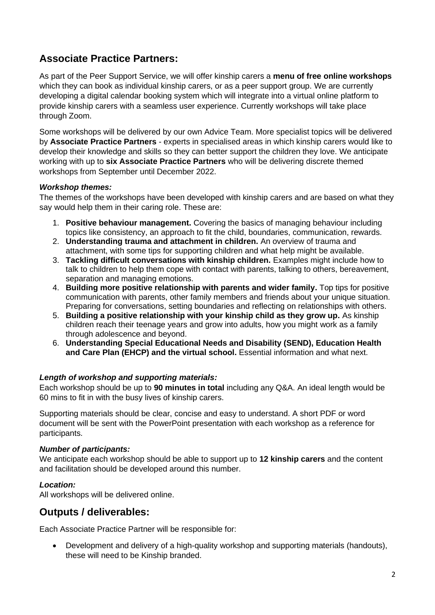# **Associate Practice Partners:**

As part of the Peer Support Service, we will offer kinship carers a **menu of free online workshops** which they can book as individual kinship carers, or as a peer support group. We are currently developing a digital calendar booking system which will integrate into a virtual online platform to provide kinship carers with a seamless user experience. Currently workshops will take place through Zoom.

Some workshops will be delivered by our own Advice Team. More specialist topics will be delivered by **Associate Practice Partners** - experts in specialised areas in which kinship carers would like to develop their knowledge and skills so they can better support the children they love. We anticipate working with up to **six Associate Practice Partners** who will be delivering discrete themed workshops from September until December 2022.

#### *Workshop themes:*

The themes of the workshops have been developed with kinship carers and are based on what they say would help them in their caring role. These are:

- 1. **Positive behaviour management.** Covering the basics of managing behaviour including topics like consistency, an approach to fit the child, boundaries, communication, rewards.
- 2. **Understanding trauma and attachment in children.** An overview of trauma and attachment, with some tips for supporting children and what help might be available.
- 3. **Tackling difficult conversations with kinship children.** Examples might include how to talk to children to help them cope with contact with parents, talking to others, bereavement, separation and managing emotions.
- 4. **Building more positive relationship with parents and wider family.** Top tips for positive communication with parents, other family members and friends about your unique situation. Preparing for conversations, setting boundaries and reflecting on relationships with others.
- 5. **Building a positive relationship with your kinship child as they grow up.** As kinship children reach their teenage years and grow into adults, how you might work as a family through adolescence and beyond.
- 6. **Understanding Special Educational Needs and Disability (SEND), Education Health and Care Plan (EHCP) and the virtual school.** Essential information and what next.

#### *Length of workshop and supporting materials:*

Each workshop should be up to **90 minutes in total** including any Q&A. An ideal length would be 60 mins to fit in with the busy lives of kinship carers.

Supporting materials should be clear, concise and easy to understand. A short PDF or word document will be sent with the PowerPoint presentation with each workshop as a reference for participants.

#### *Number of participants:*

We anticipate each workshop should be able to support up to **12 kinship carers** and the content and facilitation should be developed around this number.

#### *Location:*

All workshops will be delivered online.

### **Outputs / deliverables:**

Each Associate Practice Partner will be responsible for:

• Development and delivery of a high-quality workshop and supporting materials (handouts), these will need to be Kinship branded.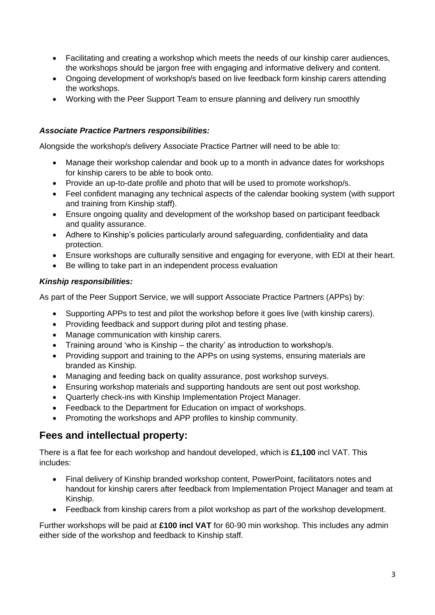- Facilitating and creating a workshop which meets the needs of our kinship carer audiences, the workshops should be jargon free with engaging and informative delivery and content.
- Ongoing development of workshop/s based on live feedback form kinship carers attending the workshops.
- Working with the Peer Support Team to ensure planning and delivery run smoothly

#### *Associate Practice Partners responsibilities:*

Alongside the workshop/s delivery Associate Practice Partner will need to be able to:

- Manage their workshop calendar and book up to a month in advance dates for workshops for kinship carers to be able to book onto.
- Provide an up-to-date profile and photo that will be used to promote workshop/s.
- Feel confident managing any technical aspects of the calendar booking system (with support and training from Kinship staff).
- Ensure ongoing quality and development of the workshop based on participant feedback and quality assurance.
- Adhere to Kinship's policies particularly around safeguarding, confidentiality and data protection.
- Ensure workshops are culturally sensitive and engaging for everyone, with EDI at their heart.
- Be willing to take part in an independent process evaluation

#### *Kinship responsibilities:*

As part of the Peer Support Service, we will support Associate Practice Partners (APPs) by:

- Supporting APPs to test and pilot the workshop before it goes live (with kinship carers).
- Providing feedback and support during pilot and testing phase.
- Manage communication with kinship carers.
- Training around 'who is Kinship the charity' as introduction to workshop/s.
- Providing support and training to the APPs on using systems, ensuring materials are branded as Kinship.
- Managing and feeding back on quality assurance, post workshop surveys.
- Ensuring workshop materials and supporting handouts are sent out post workshop.
- Quarterly check-ins with Kinship Implementation Project Manager.
- Feedback to the Department for Education on impact of workshops.
- Promoting the workshops and APP profiles to kinship community.

### **Fees and intellectual property:**

There is a flat fee for each workshop and handout developed, which is **£1,100** incl VAT. This includes:

- Final delivery of Kinship branded workshop content, PowerPoint, facilitators notes and handout for kinship carers after feedback from Implementation Project Manager and team at Kinship.
- Feedback from kinship carers from a pilot workshop as part of the workshop development.

Further workshops will be paid at **£100 incl VAT** for 60-90 min workshop. This includes any admin either side of the workshop and feedback to Kinship staff.